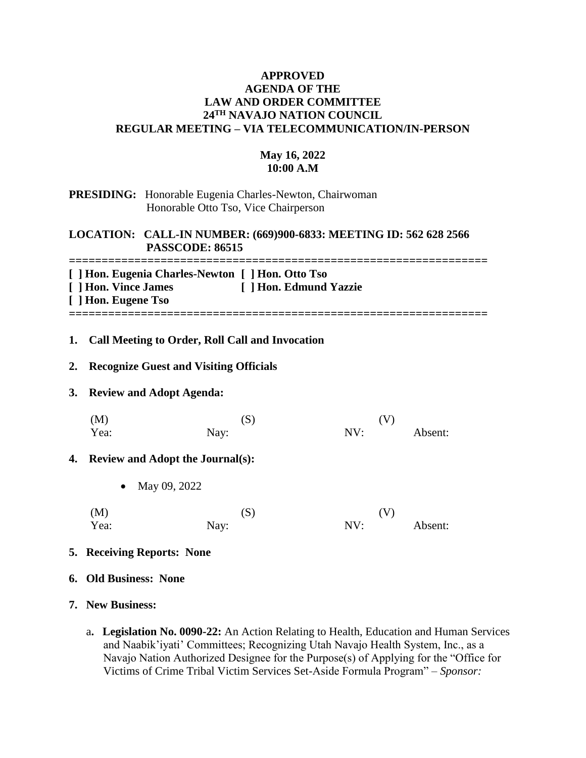## **APPROVED AGENDA OF THE LAW AND ORDER COMMITTEE 24TH NAVAJO NATION COUNCIL REGULAR MEETING – VIA TELECOMMUNICATION/IN-PERSON**

# **May 16, 2022 10:00 A.M**

#### **PRESIDING:** Honorable Eugenia Charles-Newton, Chairwoman Honorable Otto Tso, Vice Chairperson

### **LOCATION: CALL-IN NUMBER: (669)900-6833: MEETING ID: 562 628 2566 PASSCODE: 86515**

**================================================================ [ ] Hon. Eugenia Charles-Newton [ ] Hon. Otto Tso**

| [ ] Hon. Vince James | [ ] Hon. Edmund Yazzie |
|----------------------|------------------------|
| [ ] Hon. Eugene Tso  |                        |
|                      |                        |

### **1. Call Meeting to Order, Roll Call and Invocation**

### **2. Recognize Guest and Visiting Officials**

### **3. Review and Adopt Agenda:**

| (M)  | (S)  | (V) |         |
|------|------|-----|---------|
| Yea: | Nay: | NV: | Absent: |

### **4. Review and Adopt the Journal(s):**

- May 09, 2022
- $(M)$  (S)  $(V)$ Yea: Nay: Nay: NV: Absent:

### **5. Receiving Reports: None**

### **6. Old Business: None**

### **7. New Business:**

a**. Legislation No. 0090-22:** An Action Relating to Health, Education and Human Services and Naabik'iyati' Committees; Recognizing Utah Navajo Health System, Inc., as a Navajo Nation Authorized Designee for the Purpose(s) of Applying for the "Office for Victims of Crime Tribal Victim Services Set-Aside Formula Program" – *Sponsor:*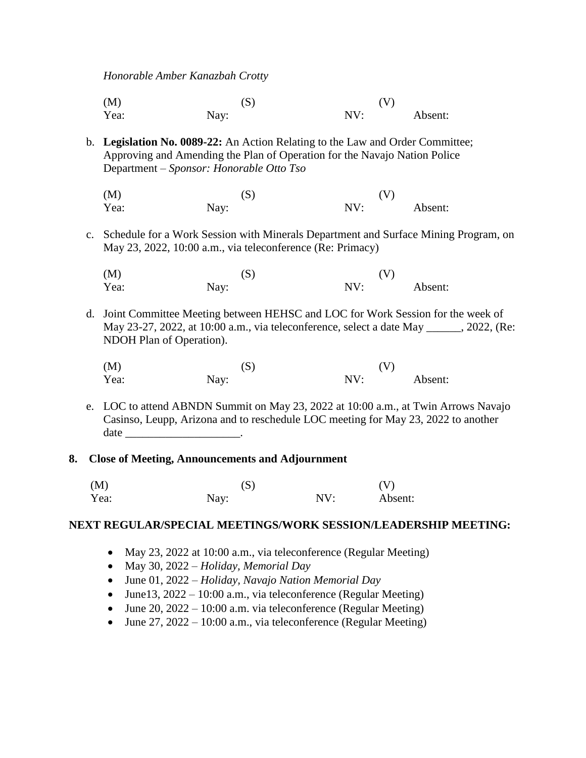*Honorable Amber Kanazbah Crotty*

(M)  $(S)$  (V) Yea: Nay: Nay: NV: Absent:

- b. **Legislation No. 0089-22:** An Action Relating to the Law and Order Committee; Approving and Amending the Plan of Operation for the Navajo Nation Police Department – *Sponsor: Honorable Otto Tso*
	- (M)  $(S)$  (V) Yea: Nay: Nay: NV: Absent:
- c. Schedule for a Work Session with Minerals Department and Surface Mining Program, on May 23, 2022, 10:00 a.m., via teleconference (Re: Primacy)
	- (M)  $(S)$  (V) Yea: Nay: Nay: NV: Absent:
- d. Joint Committee Meeting between HEHSC and LOC for Work Session for the week of May 23-27, 2022, at 10:00 a.m., via teleconference, select a date May \_\_\_\_\_\_, 2022, (Re: NDOH Plan of Operation).
	- (M)  $(S)$  (V) Yea: Nay: Nay: NV: Absent:
- e. LOC to attend ABNDN Summit on May 23, 2022 at 10:00 a.m., at Twin Arrows Navajo Casinso, Leupp, Arizona and to reschedule LOC meeting for May 23, 2022 to another date

#### **8. Close of Meeting, Announcements and Adjournment**

| (M)  | (S)  |     | (V)     |
|------|------|-----|---------|
| Yea: | Nay: | NV: | Absent: |

#### **NEXT REGULAR/SPECIAL MEETINGS/WORK SESSION/LEADERSHIP MEETING:**

- May 23, 2022 at 10:00 a.m., via teleconference (Regular Meeting)
- May 30, 2022 *Holiday, Memorial Day*
- June 01, 2022 *Holiday, Navajo Nation Memorial Day*
- June 13,  $2022 10:00$  a.m., via teleconference (Regular Meeting)
- June 20, 2022 10:00 a.m. via teleconference (Regular Meeting)
- June  $27, 2022 10:00$  a.m., via teleconference (Regular Meeting)